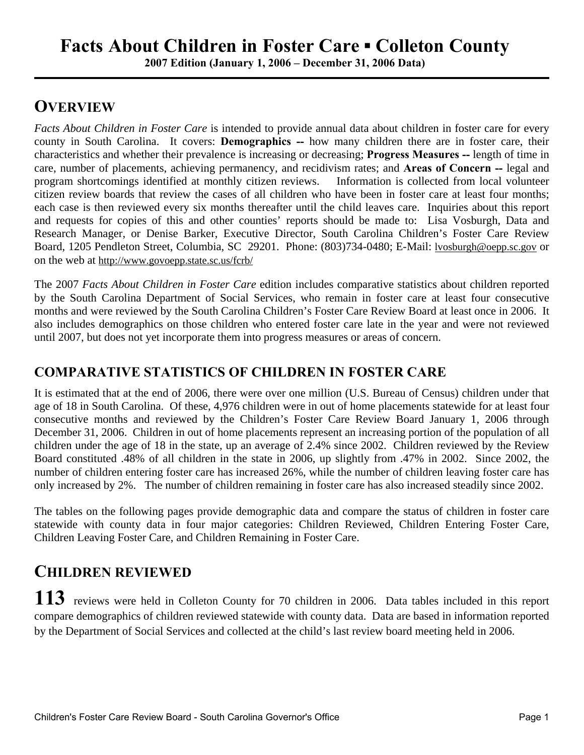**2007 Edition (January 1, 2006 – December 31, 2006 Data)**

## **OVERVIEW**

*Facts About Children in Foster Care* is intended to provide annual data about children in foster care for every county in South Carolina. It covers: **Demographics --** how many children there are in foster care, their characteristics and whether their prevalence is increasing or decreasing; **Progress Measures --** length of time in care, number of placements, achieving permanency, and recidivism rates; and **Areas of Concern --** legal and program shortcomings identified at monthly citizen reviews. Information is collected from local volunteer citizen review boards that review the cases of all children who have been in foster care at least four months; each case is then reviewed every six months thereafter until the child leaves care. Inquiries about this report and requests for copies of this and other counties' reports should be made to: Lisa Vosburgh, Data and Research Manager, or Denise Barker, Executive Director, South Carolina Children's Foster Care Review Board, 1205 Pendleton Street, Columbia, SC 29201. Phone: (803)734-0480; E-Mail: lvosburgh@oepp.sc.gov or on the web at http://www.govoepp.state.sc.us/fcrb/

The 2007 *Facts About Children in Foster Care* edition includes comparative statistics about children reported by the South Carolina Department of Social Services, who remain in foster care at least four consecutive months and were reviewed by the South Carolina Children's Foster Care Review Board at least once in 2006. It also includes demographics on those children who entered foster care late in the year and were not reviewed until 2007, but does not yet incorporate them into progress measures or areas of concern.

### **COMPARATIVE STATISTICS OF CHILDREN IN FOSTER CARE**

It is estimated that at the end of 2006, there were over one million (U.S. Bureau of Census) children under that age of 18 in South Carolina. Of these, 4,976 children were in out of home placements statewide for at least four consecutive months and reviewed by the Children's Foster Care Review Board January 1, 2006 through December 31, 2006. Children in out of home placements represent an increasing portion of the population of all children under the age of 18 in the state, up an average of 2.4% since 2002. Children reviewed by the Review Board constituted .48% of all children in the state in 2006, up slightly from .47% in 2002. Since 2002, the number of children entering foster care has increased 26%, while the number of children leaving foster care has only increased by 2%. The number of children remaining in foster care has also increased steadily since 2002.

The tables on the following pages provide demographic data and compare the status of children in foster care statewide with county data in four major categories: Children Reviewed, Children Entering Foster Care, Children Leaving Foster Care, and Children Remaining in Foster Care.

## **CHILDREN REVIEWED**

113 reviews were held in Colleton County for 70 children in 2006. Data tables included in this report compare demographics of children reviewed statewide with county data. Data are based in information reported by the Department of Social Services and collected at the child's last review board meeting held in 2006.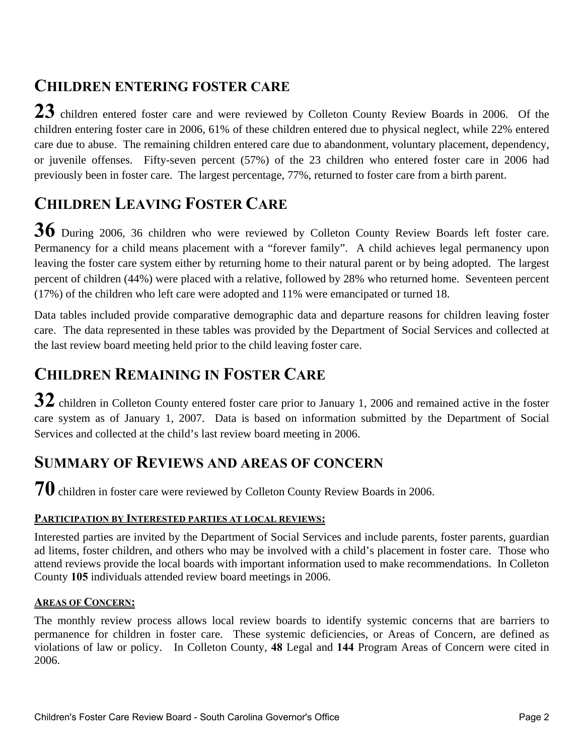## **CHILDREN ENTERING FOSTER CARE**

23 children entered foster care and were reviewed by Colleton County Review Boards in 2006. Of the children entering foster care in 2006, 61% of these children entered due to physical neglect, while 22% entered care due to abuse. The remaining children entered care due to abandonment, voluntary placement, dependency, or juvenile offenses. Fifty-seven percent (57%) of the 23 children who entered foster care in 2006 had previously been in foster care. The largest percentage, 77%, returned to foster care from a birth parent.

## **CHILDREN LEAVING FOSTER CARE**

36 During 2006, 36 children who were reviewed by Colleton County Review Boards left foster care. Permanency for a child means placement with a "forever family". A child achieves legal permanency upon leaving the foster care system either by returning home to their natural parent or by being adopted. The largest percent of children (44%) were placed with a relative, followed by 28% who returned home. Seventeen percent (17%) of the children who left care were adopted and 11% were emancipated or turned 18.

Data tables included provide comparative demographic data and departure reasons for children leaving foster care. The data represented in these tables was provided by the Department of Social Services and collected at the last review board meeting held prior to the child leaving foster care.

## **CHILDREN REMAINING IN FOSTER CARE**

**32** children in Colleton County entered foster care prior to January 1, 2006 and remained active in the foster care system as of January 1, 2007. Data is based on information submitted by the Department of Social Services and collected at the child's last review board meeting in 2006.

### **SUMMARY OF REVIEWS AND AREAS OF CONCERN**

**70** children in foster care were reviewed by Colleton County Review Boards in 2006.

#### **PARTICIPATION BY INTERESTED PARTIES AT LOCAL REVIEWS:**

Interested parties are invited by the Department of Social Services and include parents, foster parents, guardian ad litems, foster children, and others who may be involved with a child's placement in foster care. Those who attend reviews provide the local boards with important information used to make recommendations. In Colleton County **105** individuals attended review board meetings in 2006.

#### **AREAS OF CONCERN:**

The monthly review process allows local review boards to identify systemic concerns that are barriers to permanence for children in foster care. These systemic deficiencies, or Areas of Concern, are defined as violations of law or policy. In Colleton County, **48** Legal and **144** Program Areas of Concern were cited in 2006.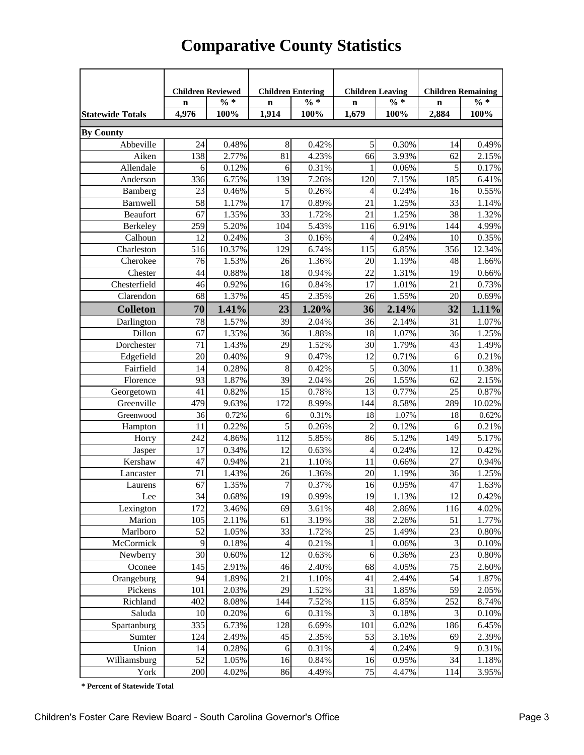|                         | <b>Children Reviewed</b> |                | <b>Children Entering</b> |                 | <b>Children Leaving</b>        |                | <b>Children Remaining</b> |                |
|-------------------------|--------------------------|----------------|--------------------------|-----------------|--------------------------------|----------------|---------------------------|----------------|
|                         | $\mathbf n$              | $\% *$         | $\mathbf n$              | $\frac{0}{6}$ * | $\mathbf n$                    | $\% *$         | $\mathbf n$               | $\% *$         |
| <b>Statewide Totals</b> | 4,976                    | 100%           | 1,914                    | 100%            | 1,679                          | 100%           | 2,884                     | 100%           |
| <b>By County</b>        |                          |                |                          |                 |                                |                |                           |                |
| Abbeville               | 24                       | 0.48%          | 8                        | 0.42%           | 5                              | 0.30%          | 14                        | 0.49%          |
| Aiken                   | 138                      | 2.77%          | 81                       | 4.23%           | 66                             | 3.93%          | 62                        | 2.15%          |
| Allendale               | 6                        | 0.12%          | 6                        | 0.31%           | 1                              | 0.06%          | 5                         | 0.17%          |
| Anderson                | 336                      | 6.75%          | 139                      | 7.26%           | 120                            | 7.15%          | 185                       | 6.41%          |
| Bamberg                 | 23                       | 0.46%          | $\sqrt{5}$               | 0.26%           | 4                              | 0.24%          | 16                        | 0.55%          |
| Barnwell                | 58                       | 1.17%          | 17                       | 0.89%           | 21                             | 1.25%          | 33                        | 1.14%          |
| <b>Beaufort</b>         | 67                       | 1.35%          | 33                       | 1.72%           | 21                             | 1.25%          | 38                        | 1.32%          |
| Berkeley                | 259                      | 5.20%          | 104                      | 5.43%           | 116                            | 6.91%          | 144                       | 4.99%          |
| Calhoun                 | 12                       | 0.24%          | 3                        | 0.16%           | 4                              | 0.24%          | 10                        | 0.35%          |
| Charleston              | 516                      | 10.37%         | 129                      | 6.74%           | 115                            | 6.85%          | 356                       | 12.34%         |
| Cherokee                | 76                       | 1.53%          | 26                       | 1.36%           | 20                             | 1.19%          | 48                        | 1.66%          |
| Chester                 | 44                       | 0.88%          | 18                       | 0.94%           | 22                             | 1.31%          | 19                        | 0.66%          |
| Chesterfield            | 46                       | 0.92%          | 16                       | 0.84%           | 17                             | 1.01%          | 21                        | 0.73%          |
| Clarendon               | 68                       | 1.37%          | 45                       | 2.35%           | 26                             | 1.55%          | 20                        | 0.69%          |
| <b>Colleton</b>         | 70                       | 1.41%          | 23                       | 1.20%           | 36                             | 2.14%          | 32                        | 1.11%          |
| Darlington              | 78                       | 1.57%          | 39                       | 2.04%           | 36                             | 2.14%          | 31                        | 1.07%          |
| Dillon                  | 67                       | 1.35%          | 36                       | 1.88%           | 18                             | 1.07%          | 36                        | 1.25%          |
| Dorchester              | 71                       | 1.43%          | 29                       | 1.52%           | 30                             | 1.79%          | 43                        | 1.49%          |
| Edgefield               | 20                       | 0.40%          | 9                        | 0.47%           | 12                             | 0.71%          | 6                         | 0.21%          |
| Fairfield               | 14                       | 0.28%          | 8                        | 0.42%           | 5                              | 0.30%          | 11                        | 0.38%          |
| Florence                | 93                       | 1.87%          | 39                       | 2.04%           | 26                             | 1.55%          | 62                        | 2.15%          |
| Georgetown              | 41                       | 0.82%          | 15                       | 0.78%           | 13                             | 0.77%          | 25                        | 0.87%          |
| Greenville              | 479                      | 9.63%          | 172                      | 8.99%           | 144                            | 8.58%          | 289                       | 10.02%         |
| Greenwood               | 36                       | 0.72%          | 6                        | 0.31%           | 18                             | 1.07%          | 18                        | 0.62%          |
| Hampton                 | 11                       | 0.22%          | 5                        | 0.26%           | $\overline{c}$                 | 0.12%          | 6                         | 0.21%          |
| Horry                   | 242                      | 4.86%          | 112                      | 5.85%           | 86                             | 5.12%          | 149                       | 5.17%          |
| Jasper                  | 17                       | 0.34%          | 12                       | 0.63%           | 4                              | 0.24%          | 12                        | 0.42%          |
| Kershaw                 | 47                       | 0.94%          | 21                       | 1.10%           | 11                             | 0.66%          | 27                        | 0.94%          |
| Lancaster               | 71                       | 1.43%          | 26                       | 1.36%           | 20                             | 1.19%          | 36                        | 1.25%          |
| Laurens                 | 67                       | 1.35%          | 7                        | 0.37%           | 16                             | 0.95%          | 47                        | 1.63%          |
| Lee                     | 34                       | 0.68%          | 19                       | 0.99%           | 19                             | 1.13%          | 12                        | 0.42%          |
| Lexington               | 172                      | 3.46%          | 69                       | 3.61%           | 48                             | 2.86%          | 116                       | 4.02%          |
| Marion                  | 105                      | 2.11%          | 61                       | 3.19%           | 38                             | 2.26%          | 51                        | 1.77%          |
| Marlboro                | 52                       | 1.05%          | 33                       | 1.72%           | 25                             | 1.49%          | 23                        | 0.80%          |
| McCormick               | $\overline{9}$           | 0.18%          | $\overline{4}$           | 0.21%           | 1                              | 0.06%          | 3                         | 0.10%          |
| Newberry                | 30                       | 0.60%          | 12                       | 0.63%           | 6                              | 0.36%          | 23                        | 0.80%          |
| Oconee                  | 145                      | 2.91%          | 46                       | 2.40%           | 68                             | 4.05%          | 75                        | 2.60%          |
| Orangeburg              | 94                       | 1.89%          | 21                       | 1.10%           | 41                             | 2.44%          | 54                        | 1.87%          |
| Pickens                 | 101                      | 2.03%          | 29                       | 1.52%           | 31                             | 1.85%          | 59                        | 2.05%          |
| Richland                | 402                      | 8.08%          | 144                      | 7.52%           | 115                            | 6.85%          | 252                       | 8.74%          |
| Saluda                  | 10                       | 0.20%          | 6                        | 0.31%           | 3                              | 0.18%          | 3                         | 0.10%          |
| Spartanburg             | 335                      | 6.73%          | 128                      | 6.69%           | 101                            | 6.02%          | 186                       | 6.45%          |
| Sumter                  | 124<br>14                | 2.49%          | 45                       | 2.35%           | 53                             | 3.16%          | 69                        | 2.39%          |
| Union<br>Williamsburg   | 52                       | 0.28%          | $\sqrt{6}$<br>16         | 0.31%<br>0.84%  | $\overline{\mathcal{L}}$<br>16 | 0.24%          | 9<br>34                   | 0.31%          |
| York                    | 200                      | 1.05%<br>4.02% | 86                       | 4.49%           | 75                             | 0.95%<br>4.47% | 114                       | 1.18%<br>3.95% |
|                         |                          |                |                          |                 |                                |                |                           |                |

## **Comparative County Statistics**

**\* Percent of Statewide Total**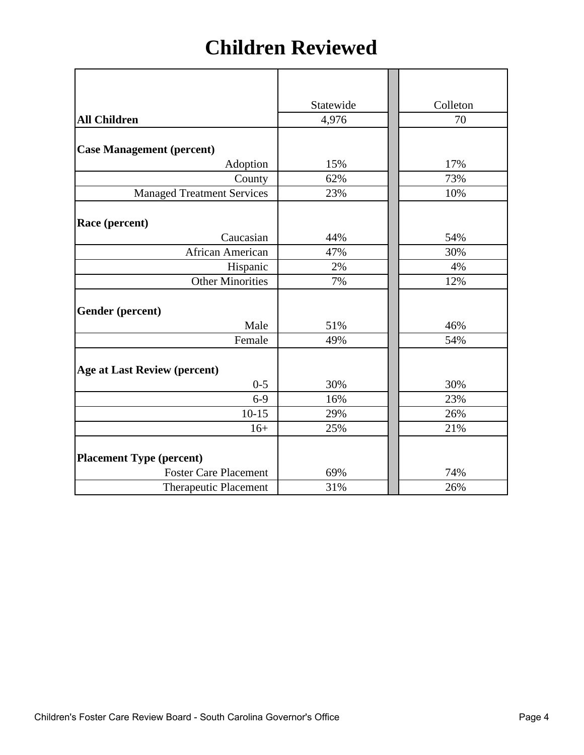# **Children Reviewed**

|                                     | Statewide | Colleton |
|-------------------------------------|-----------|----------|
| <b>All Children</b>                 | 4,976     | 70       |
|                                     |           |          |
| <b>Case Management (percent)</b>    |           |          |
| Adoption                            | 15%       | 17%      |
| County                              | 62%       | 73%      |
| <b>Managed Treatment Services</b>   | 23%       | 10%      |
|                                     |           |          |
| Race (percent)                      |           |          |
| Caucasian                           | 44%       | 54%      |
| African American                    | 47%       | 30%      |
| Hispanic                            | 2%        | 4%       |
| <b>Other Minorities</b>             | 7%        | 12%      |
|                                     |           |          |
| Gender (percent)                    |           |          |
| Male                                | 51%       | 46%      |
| Female                              | 49%       | 54%      |
|                                     |           |          |
| <b>Age at Last Review (percent)</b> |           |          |
| $0 - 5$                             | 30%       | 30%      |
| $6-9$                               | 16%       | 23%      |
| $10-15$                             | 29%       | 26%      |
| $16+$                               | 25%       | 21%      |
|                                     |           |          |
| <b>Placement Type (percent)</b>     |           |          |
| <b>Foster Care Placement</b>        | 69%       | 74%      |
| <b>Therapeutic Placement</b>        | 31%       | 26%      |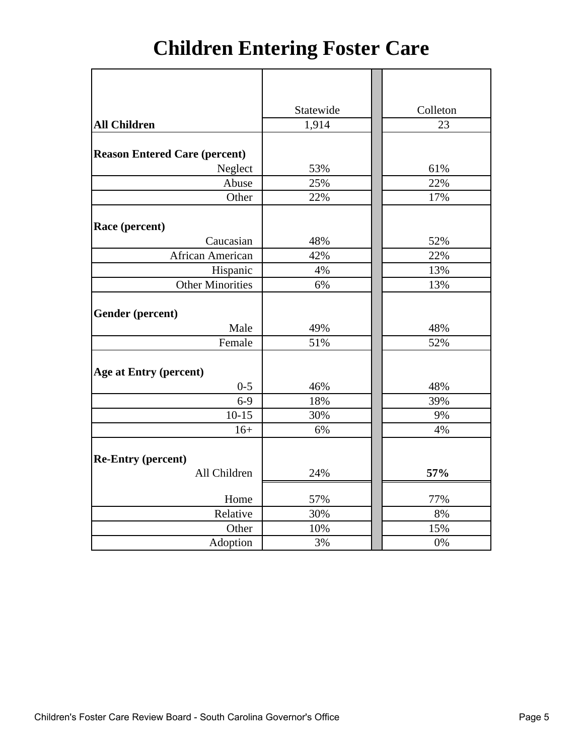# **Children Entering Foster Care**

|                                      | Statewide | Colleton |
|--------------------------------------|-----------|----------|
| <b>All Children</b>                  | 1,914     | 23       |
|                                      |           |          |
| <b>Reason Entered Care (percent)</b> |           |          |
| Neglect                              | 53%       | 61%      |
| Abuse                                | 25%       | 22%      |
| Other                                | 22%       | 17%      |
|                                      |           |          |
| Race (percent)                       |           |          |
| Caucasian                            | 48%       | 52%      |
| African American                     | 42%       | 22%      |
| Hispanic                             | 4%        | 13%      |
| <b>Other Minorities</b>              | 6%        | 13%      |
|                                      |           |          |
| Gender (percent)                     |           |          |
| Male                                 | 49%       | 48%      |
| Female                               | 51%       | 52%      |
|                                      |           |          |
| Age at Entry (percent)               |           |          |
| $0 - 5$                              | 46%       | 48%      |
| $6-9$                                | 18%       | 39%      |
| $10-15$                              | 30%       | 9%       |
| $16+$                                | 6%        | 4%       |
|                                      |           |          |
| <b>Re-Entry (percent)</b>            |           |          |
| All Children                         | 24%       | 57%      |
|                                      |           |          |
| Home                                 | 57%       | 77%      |
| Relative                             | 30%       | 8%       |
| Other                                | 10%       | 15%      |
| Adoption                             | 3%        | 0%       |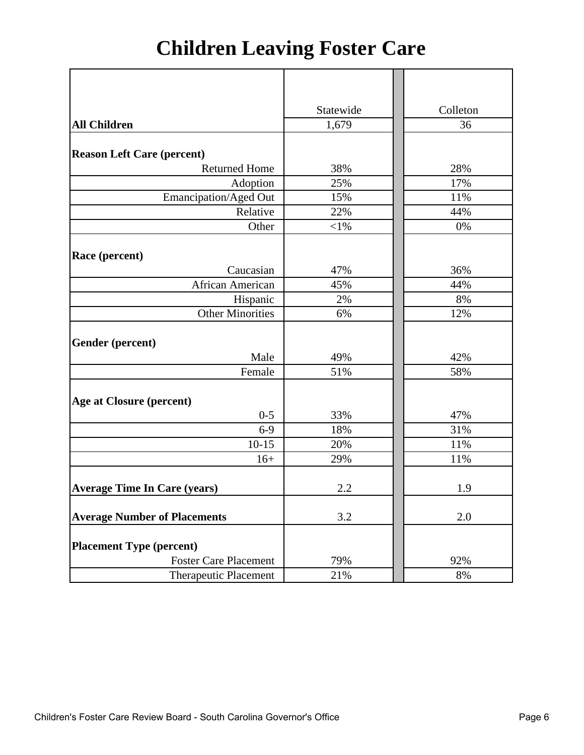# **Children Leaving Foster Care**

|                                     | Statewide | Colleton |
|-------------------------------------|-----------|----------|
| <b>All Children</b>                 | 1,679     | 36       |
|                                     |           |          |
| <b>Reason Left Care (percent)</b>   |           |          |
| <b>Returned Home</b>                | 38%       | 28%      |
| Adoption                            | 25%       | 17%      |
| Emancipation/Aged Out               | 15%       | 11%      |
| Relative                            | 22%       | 44%      |
| Other                               | $<$ 1%    | 0%       |
|                                     |           |          |
| Race (percent)                      |           |          |
| Caucasian                           | 47%       | 36%      |
| African American                    | 45%       | 44%      |
| Hispanic                            | 2%        | 8%       |
| <b>Other Minorities</b>             | 6%        | 12%      |
|                                     |           |          |
| Gender (percent)                    |           |          |
| Male                                | 49%       | 42%      |
| Female                              | 51%       | 58%      |
|                                     |           |          |
| <b>Age at Closure (percent)</b>     |           |          |
| $0 - 5$                             | 33%       | 47%      |
| $6-9$                               | 18%       | 31%      |
| $10 - 15$                           | 20%       | 11%      |
| $16+$                               | 29%       | 11%      |
|                                     |           |          |
| <b>Average Time In Care (years)</b> | 2.2       | 1.9      |
|                                     |           |          |
| <b>Average Number of Placements</b> | 3.2       | 2.0      |
|                                     |           |          |
| <b>Placement Type (percent)</b>     |           |          |
| <b>Foster Care Placement</b>        | 79%       | 92%      |
| <b>Therapeutic Placement</b>        | 21%       | 8%       |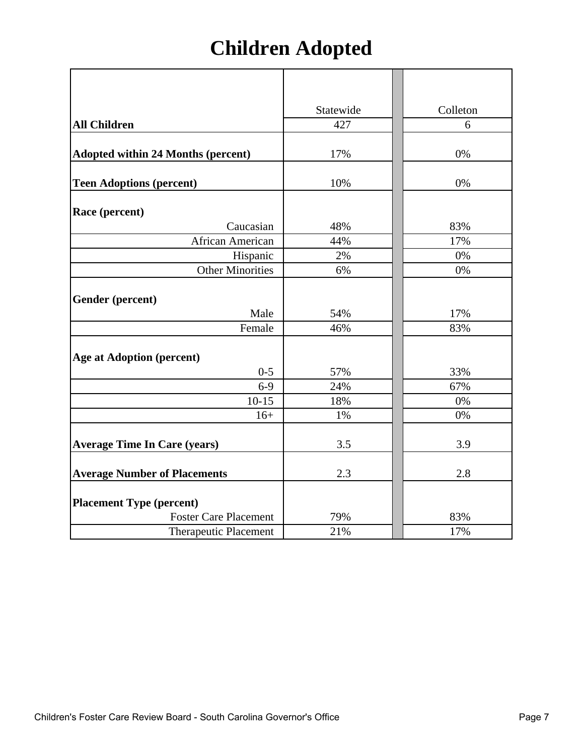# **Children Adopted**

|                                           | Statewide | Colleton |
|-------------------------------------------|-----------|----------|
| <b>All Children</b>                       | 427       | 6        |
| <b>Adopted within 24 Months (percent)</b> | 17%       | 0%       |
| <b>Teen Adoptions (percent)</b>           | 10%       | $0\%$    |
| Race (percent)                            |           |          |
| Caucasian                                 | 48%       | 83%      |
| African American                          | 44%       | 17%      |
| Hispanic                                  | 2%        | 0%       |
| <b>Other Minorities</b>                   | 6%        | 0%       |
| <b>Gender</b> (percent)                   |           |          |
| Male                                      | 54%       | 17%      |
| Female                                    | 46%       | 83%      |
| <b>Age at Adoption (percent)</b>          |           |          |
| $0 - 5$                                   | 57%       | 33%      |
| $6-9$                                     | 24%       | 67%      |
| $10-15$                                   | 18%       | 0%       |
| $16+$                                     | 1%        | 0%       |
| <b>Average Time In Care (years)</b>       | 3.5       | 3.9      |
| <b>Average Number of Placements</b>       | 2.3       | 2.8      |
| <b>Placement Type (percent)</b>           |           |          |
| <b>Foster Care Placement</b>              | 79%       | 83%      |
| <b>Therapeutic Placement</b>              | 21%       | 17%      |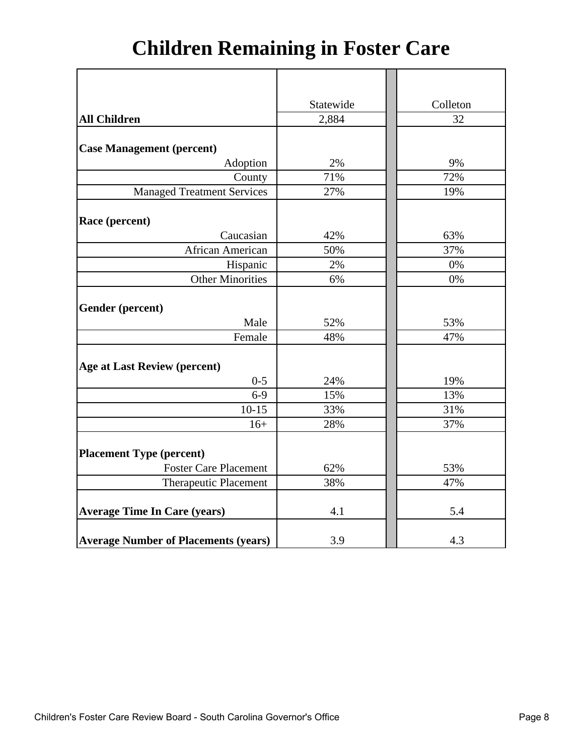# **Children Remaining in Foster Care**

|                                             | Statewide | Colleton |
|---------------------------------------------|-----------|----------|
| <b>All Children</b>                         | 2,884     | 32       |
|                                             |           |          |
| <b>Case Management (percent)</b>            |           |          |
| Adoption                                    | 2%        | 9%       |
| County                                      | 71%       | 72%      |
| <b>Managed Treatment Services</b>           | 27%       | 19%      |
|                                             |           |          |
| Race (percent)                              |           |          |
| Caucasian                                   | 42%       | 63%      |
| African American                            | 50%       | 37%      |
| Hispanic                                    | 2%        | 0%       |
| <b>Other Minorities</b>                     | 6%        | 0%       |
|                                             |           |          |
| Gender (percent)                            |           |          |
| Male                                        | 52%       | 53%      |
| Female                                      | 48%       | 47%      |
|                                             |           |          |
| <b>Age at Last Review (percent)</b>         |           |          |
| $0 - 5$                                     | 24%       | 19%      |
| $6 - 9$                                     | 15%       | 13%      |
| $10-15$                                     | 33%       | 31%      |
| $16+$                                       | 28%       | 37%      |
|                                             |           |          |
| <b>Placement Type (percent)</b>             |           |          |
| <b>Foster Care Placement</b>                | 62%       | 53%      |
| Therapeutic Placement                       | 38%       | 47%      |
|                                             |           |          |
| <b>Average Time In Care (years)</b>         | 4.1       | 5.4      |
|                                             |           |          |
| <b>Average Number of Placements (years)</b> | 3.9       | 4.3      |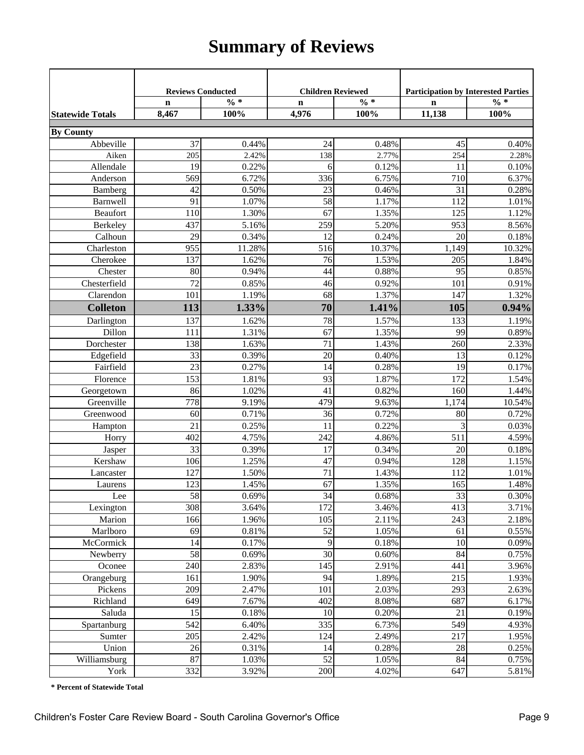# **Summary of Reviews**

|                         | <b>Reviews Conducted</b> |                 |                        | <b>Children Reviewed</b> |             | <b>Participation by Interested Parties</b> |  |
|-------------------------|--------------------------|-----------------|------------------------|--------------------------|-------------|--------------------------------------------|--|
|                         | $\mathbf n$              | $\frac{0}{6}$ * | $\mathbf n$            | $\frac{0}{6}$ *          | $\mathbf n$ | $\frac{0}{6}$ *                            |  |
| <b>Statewide Totals</b> | 8,467                    | 100%            | 4,976                  | 100%                     | 11,138      | 100%                                       |  |
| <b>By County</b>        |                          |                 |                        |                          |             |                                            |  |
| Abbeville               | 37                       | 0.44%           | 24                     | 0.48%                    | 45          | 0.40%                                      |  |
| Aiken                   | 205                      | 2.42%           | 138                    | 2.77%                    | 254         | 2.28%                                      |  |
| Allendale               | 19                       | 0.22%           | 6                      | 0.12%                    | 11          | 0.10%                                      |  |
| Anderson                | 569                      | 6.72%           | 336                    | 6.75%                    | 710         | 6.37%                                      |  |
| Bamberg                 | 42                       | 0.50%           | 23                     | 0.46%                    | 31          | 0.28%                                      |  |
| Barnwell                | 91                       | 1.07%           | 58                     | 1.17%                    | 112         | 1.01%                                      |  |
| Beaufort                | 110                      | 1.30%           | 67                     | 1.35%                    | 125         | 1.12%                                      |  |
| Berkeley                | 437                      | 5.16%           | 259                    | 5.20%                    | 953         | 8.56%                                      |  |
| Calhoun                 | 29                       | 0.34%           | 12                     | 0.24%                    | 20          | 0.18%                                      |  |
| Charleston              | 955                      | 11.28%          | 516                    | 10.37%                   | 1,149       | 10.32%                                     |  |
| Cherokee                | 137                      | 1.62%           | 76                     | 1.53%                    | 205         | 1.84%                                      |  |
| Chester                 | 80                       | 0.94%           | 44                     | 0.88%                    | 95          | 0.85%                                      |  |
| Chesterfield            | 72                       | 0.85%           | 46                     | 0.92%                    | 101         | 0.91%                                      |  |
| Clarendon               | 101                      | 1.19%           | 68                     | 1.37%                    | 147         | 1.32%                                      |  |
| <b>Colleton</b>         | 113                      | 1.33%           | 70                     | 1.41%                    | 105         | 0.94%                                      |  |
| Darlington              | 137                      | 1.62%           | 78                     | 1.57%                    | 133         | 1.19%                                      |  |
| Dillon                  | 111                      | 1.31%           | 67                     | 1.35%                    | 99          | 0.89%                                      |  |
| Dorchester              | 138                      | 1.63%           | 71                     | 1.43%                    | 260         | 2.33%                                      |  |
| Edgefield               | 33                       | 0.39%           | 20                     | 0.40%                    | 13          | 0.12%                                      |  |
| Fairfield               | 23                       | 0.27%           | 14                     | 0.28%                    | 19          | 0.17%                                      |  |
| Florence                | 153                      | 1.81%           | 93                     | 1.87%                    | 172         | 1.54%                                      |  |
| Georgetown              | 86                       | 1.02%           | 41                     | 0.82%                    | 160         | 1.44%                                      |  |
| Greenville              | 778                      | 9.19%           | 479                    | 9.63%                    | 1,174       | 10.54%                                     |  |
| Greenwood               | 60                       | 0.71%           | 36                     | 0.72%                    | 80          | 0.72%                                      |  |
| Hampton                 | 21                       | 0.25%           | 11                     | 0.22%                    | 3           | 0.03%                                      |  |
| Horry                   | 402                      | 4.75%           | 242                    | 4.86%                    | 511         | 4.59%                                      |  |
| Jasper                  | 33                       | 0.39%           | 17                     | 0.34%                    | 20          | 0.18%                                      |  |
| Kershaw                 | 106                      | 1.25%           | 47                     | 0.94%                    | 128         | 1.15%                                      |  |
| Lancaster               | 127                      | 1.50%           | 71                     | 1.43%                    | 112         | 1.01%                                      |  |
| Laurens                 | 123                      | 1.45%           | 67                     | 1.35%                    | 165         | 1.48%                                      |  |
| Lee                     | 58                       | 0.69%           | 34                     | 0.68%                    | 33          | 0.30%                                      |  |
| Lexington               | 308                      | 3.64%           | 172                    | 3.46%                    | 413         | 3.71%                                      |  |
| Marion                  | 166                      | 1.96%<br>0.81%  | 105<br>$\overline{52}$ | 2.11%                    | 243<br>61   | 2.18%                                      |  |
| Marlboro<br>McCormick   | 69<br>14                 | 0.17%           | 9                      | 1.05%<br>0.18%           | 10          | 0.55%<br>0.09%                             |  |
| Newberry                | 58                       | 0.69%           | 30                     | 0.60%                    | 84          | 0.75%                                      |  |
| Oconee                  | 240                      | 2.83%           | 145                    | 2.91%                    | 441         | 3.96%                                      |  |
| Orangeburg              | 161                      | 1.90%           | 94                     | 1.89%                    | 215         | 1.93%                                      |  |
| Pickens                 | 209                      | 2.47%           | 101                    | 2.03%                    | 293         | 2.63%                                      |  |
| Richland                | 649                      | 7.67%           | 402                    | 8.08%                    | 687         | 6.17%                                      |  |
| Saluda                  | 15                       | 0.18%           | 10                     | 0.20%                    | 21          | 0.19%                                      |  |
| Spartanburg             | 542                      | 6.40%           | 335                    | 6.73%                    | 549         | 4.93%                                      |  |
| Sumter                  | 205                      | 2.42%           | 124                    | 2.49%                    | 217         | 1.95%                                      |  |
| Union                   | 26                       | 0.31%           | 14                     | 0.28%                    | 28          | 0.25%                                      |  |
| Williamsburg            | 87                       | 1.03%           | 52                     | 1.05%                    | 84          | 0.75%                                      |  |
| York                    | 332                      | 3.92%           | 200                    | 4.02%                    | 647         | 5.81%                                      |  |
|                         |                          |                 |                        |                          |             |                                            |  |

**\* Percent of Statewide Total**